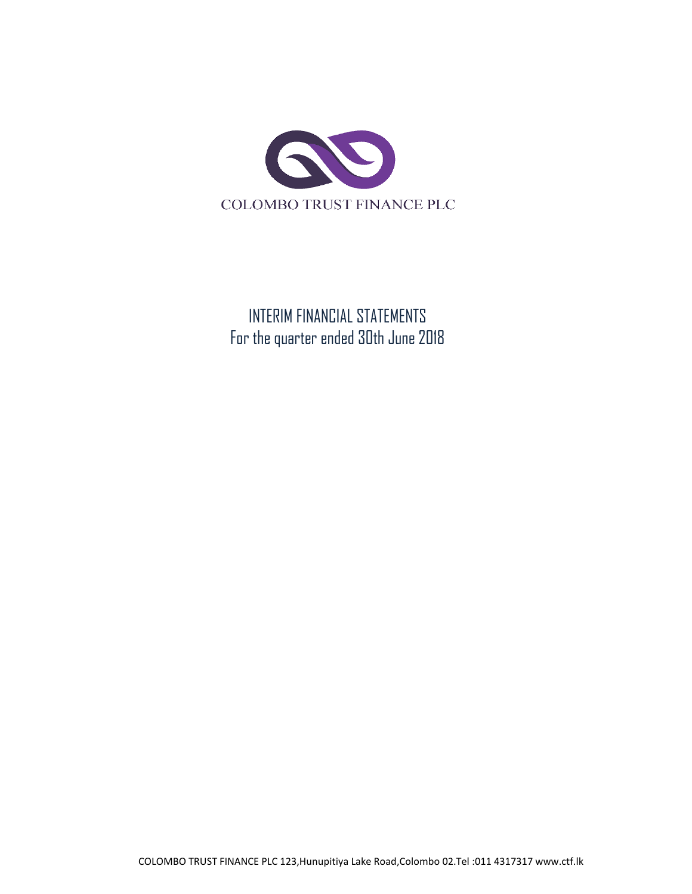

INTERIM FINANCIAL STATEMENTS For the quarter ended 30th June 2018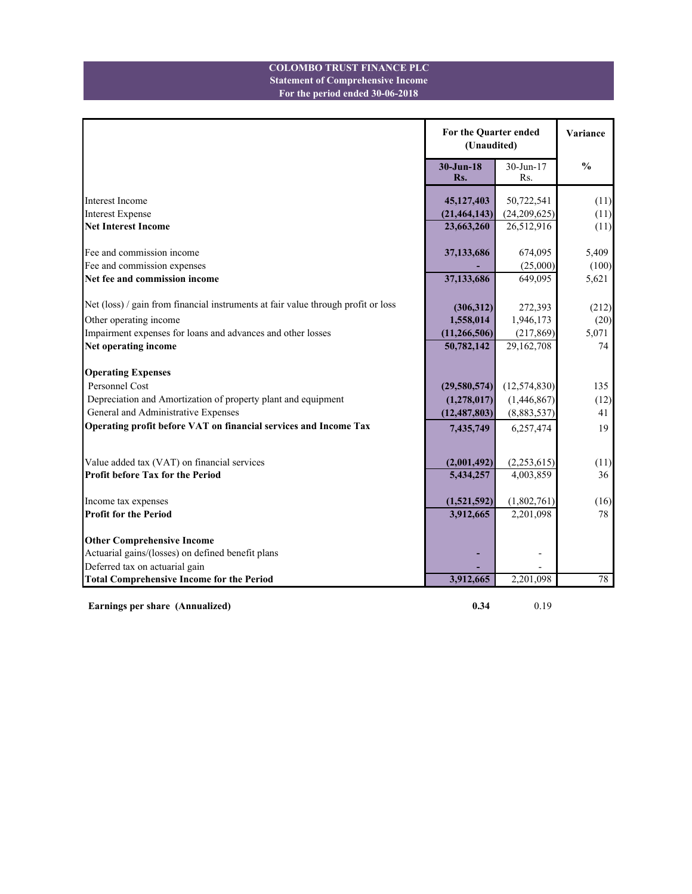### **For the period ended 30-06-2018 Statement of Comprehensive Income COLOMBO TRUST FINANCE PLC**

|                                                                                   | For the Quarter ended<br>(Unaudited) | Variance            |               |
|-----------------------------------------------------------------------------------|--------------------------------------|---------------------|---------------|
|                                                                                   | $30 - Jun-18$<br>Rs.                 | $30$ -Jun-17<br>Rs. | $\frac{0}{0}$ |
| <b>Interest Income</b>                                                            | 45,127,403                           | 50,722,541          | (11)          |
| <b>Interest Expense</b>                                                           | (21, 464, 143)                       | (24, 209, 625)      | (11)          |
| <b>Net Interest Income</b>                                                        | 23,663,260                           | 26,512,916          | (11)          |
| Fee and commission income                                                         | 37,133,686                           | 674,095             | 5,409         |
| Fee and commission expenses                                                       |                                      | (25,000)            | (100)         |
| Net fee and commission income                                                     | 37,133,686                           | 649,095             | 5,621         |
| Net (loss) / gain from financial instruments at fair value through profit or loss | (306, 312)                           | 272,393             | (212)         |
| Other operating income                                                            | 1,558,014                            | 1,946,173           | (20)          |
| Impairment expenses for loans and advances and other losses                       | (11, 266, 506)                       | (217, 869)          | 5,071         |
| Net operating income                                                              | 50,782,142                           | 29,162,708          | 74            |
|                                                                                   |                                      |                     |               |
| <b>Operating Expenses</b>                                                         |                                      |                     |               |
| Personnel Cost                                                                    | (29, 580, 574)                       | (12, 574, 830)      | 135           |
| Depreciation and Amortization of property plant and equipment                     | (1,278,017)                          | (1,446,867)         | (12)          |
| General and Administrative Expenses                                               | (12, 487, 803)                       | (8,883,537)         | 41            |
| Operating profit before VAT on financial services and Income Tax                  | 7,435,749                            | 6,257,474           | 19            |
|                                                                                   |                                      |                     |               |
| Value added tax (VAT) on financial services                                       | (2,001,492)                          | (2, 253, 615)       | (11)          |
| <b>Profit before Tax for the Period</b>                                           | 5,434,257                            | 4,003,859           | 36            |
| Income tax expenses                                                               | (1,521,592)                          | (1,802,761)         | (16)          |
| <b>Profit for the Period</b>                                                      | 3,912,665                            | 2,201,098           | 78            |
| <b>Other Comprehensive Income</b>                                                 |                                      |                     |               |
| Actuarial gains/(losses) on defined benefit plans                                 |                                      |                     |               |
| Deferred tax on actuarial gain                                                    |                                      |                     |               |
| <b>Total Comprehensive Income for the Period</b>                                  | 3,912,665                            | 2,201,098           | 78            |

**Earnings per share (Annualized) 0.34** 0.19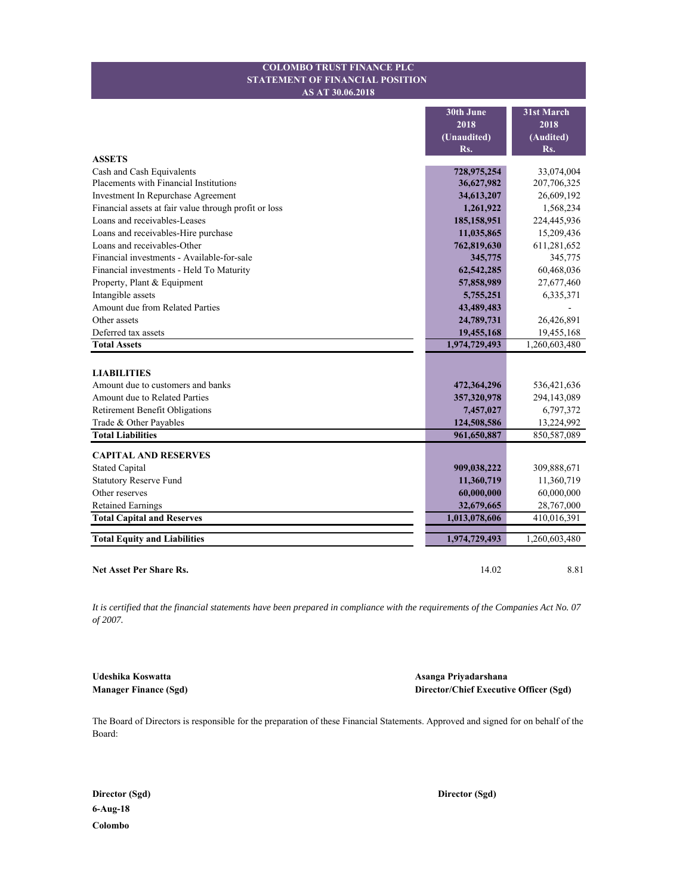### **STATEMENT OF FINANCIAL POSITION COLOMBO TRUST FINANCE PLC AS AT 30.06.2018**

|                                                       | 30th June<br>2018<br>(Unaudited)<br>Rs. | 31st March<br>2018<br>(Audited)<br>Rs. |
|-------------------------------------------------------|-----------------------------------------|----------------------------------------|
| <b>ASSETS</b>                                         |                                         |                                        |
| Cash and Cash Equivalents                             | 728,975,254                             | 33,074,004                             |
| Placements with Financial Institutions                | 36,627,982                              | 207,706,325                            |
| Investment In Repurchase Agreement                    | 34,613,207                              | 26,609,192                             |
| Financial assets at fair value through profit or loss | 1,261,922                               | 1,568,234                              |
| Loans and receivables-Leases                          | 185,158,951                             | 224,445,936                            |
| Loans and receivables-Hire purchase                   | 11,035,865                              | 15,209,436                             |
| Loans and receivables-Other                           | 762,819,630                             | 611,281,652                            |
| Financial investments - Available-for-sale            | 345,775                                 | 345,775                                |
| Financial investments - Held To Maturity              | 62,542,285                              | 60,468,036                             |
| Property, Plant & Equipment                           | 57,858,989                              | 27,677,460                             |
| Intangible assets                                     | 5,755,251                               | 6,335,371                              |
| Amount due from Related Parties                       | 43,489,483                              |                                        |
| Other assets                                          | 24,789,731                              | 26,426,891                             |
| Deferred tax assets                                   | 19,455,168                              | 19,455,168                             |
| <b>Total Assets</b>                                   | 1,974,729,493                           | 1,260,603,480                          |
| <b>LIABILITIES</b>                                    |                                         |                                        |
| Amount due to customers and banks                     | 472,364,296                             | 536,421,636                            |
| Amount due to Related Parties                         | 357,320,978                             | 294,143,089                            |
| <b>Retirement Benefit Obligations</b>                 | 7,457,027                               | 6,797,372                              |
| Trade & Other Payables                                | 124,508,586                             | 13,224,992                             |
| <b>Total Liabilities</b>                              | 961,650,887                             | 850,587,089                            |
| <b>CAPITAL AND RESERVES</b>                           |                                         |                                        |
| <b>Stated Capital</b>                                 | 909,038,222                             | 309,888,671                            |
| <b>Statutory Reserve Fund</b>                         | 11,360,719                              | 11,360,719                             |
| Other reserves                                        | 60,000,000                              | 60,000,000                             |
| <b>Retained Earnings</b>                              | 32,679,665                              | 28,767,000                             |
| <b>Total Capital and Reserves</b>                     | 1,013,078,606                           | 410,016,391                            |
| <b>Total Equity and Liabilities</b>                   | 1,974,729,493                           | 1,260,603,480                          |
| Net Asset Per Share Rs.                               | 14.02                                   | 8.81                                   |

*It is certified that the financial statements have been prepared in compliance with the requirements of the Companies Act No. 07 of 2007.*

**Udeshika Koswatta Asanga Priyadarshana Manager Finance (Sgd) Director/Chief Executive Officer (Sgd)**

The Board of Directors is responsible for the preparation of these Financial Statements. Approved and signed for on behalf of the Board:

**6-Aug-18 Colombo**

**Director (Sgd) Director (Sgd)**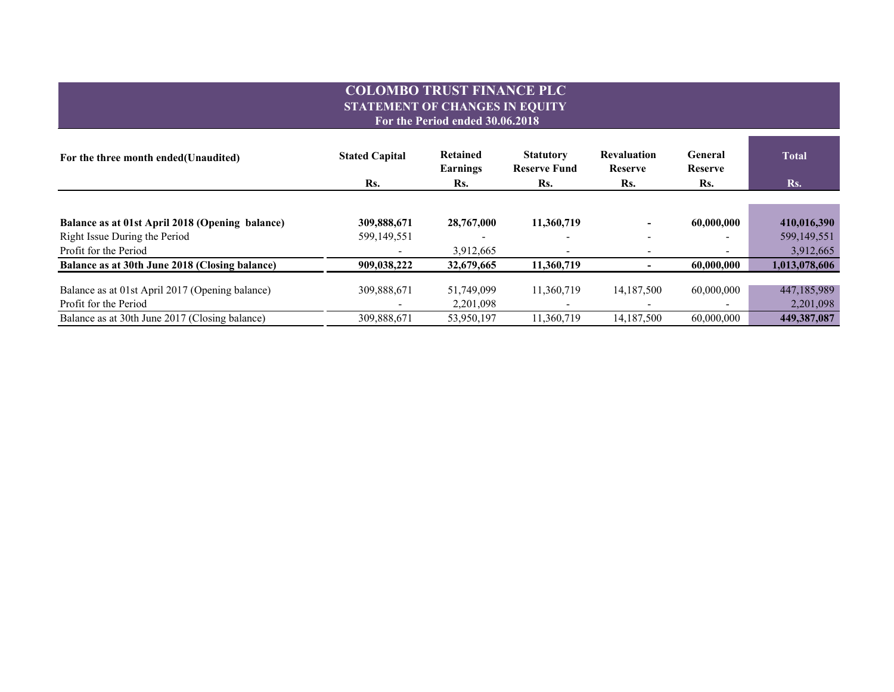# **COLOMBO TRUST FINANCE PLC STATEMENT OF CHANGES IN EQUITY For the Period ended 30.06.2018**

| For the three month ended (Unaudited)           | <b>Stated Capital</b> | <b>Retained</b><br>Earnings | <b>Statutory</b><br><b>Reserve Fund</b> | <b>Revaluation</b><br><b>Reserve</b> | General<br><b>Reserve</b> | <b>Total</b>  |
|-------------------------------------------------|-----------------------|-----------------------------|-----------------------------------------|--------------------------------------|---------------------------|---------------|
|                                                 | Rs.                   | Rs.                         | Rs.                                     | Rs.                                  | Rs.                       | Rs.           |
|                                                 |                       |                             |                                         |                                      |                           |               |
| Balance as at 01st April 2018 (Opening balance) | 309,888,671           | 28,767,000                  | 11,360,719                              | ۰                                    | 60,000,000                | 410,016,390   |
| Right Issue During the Period                   | 599,149,551           |                             |                                         | $\overline{\phantom{a}}$             |                           | 599,149,551   |
| Profit for the Period                           |                       | 3,912,665                   |                                         | $\overline{\phantom{a}}$             |                           | 3,912,665     |
| Balance as at 30th June 2018 (Closing balance)  | 909,038,222           | 32,679,665                  | 11,360,719                              | -                                    | 60,000,000                | 1,013,078,606 |
| Balance as at 01st April 2017 (Opening balance) | 309,888,671           | 51,749,099                  | 11,360,719                              | 14,187,500                           | 60,000,000                | 447,185,989   |
| Profit for the Period                           |                       | 2,201,098                   |                                         |                                      |                           | 2,201,098     |
| Balance as at 30th June 2017 (Closing balance)  | 309,888,671           | 53,950,197                  | 11,360,719                              | 14,187,500                           | 60,000,000                | 449,387,087   |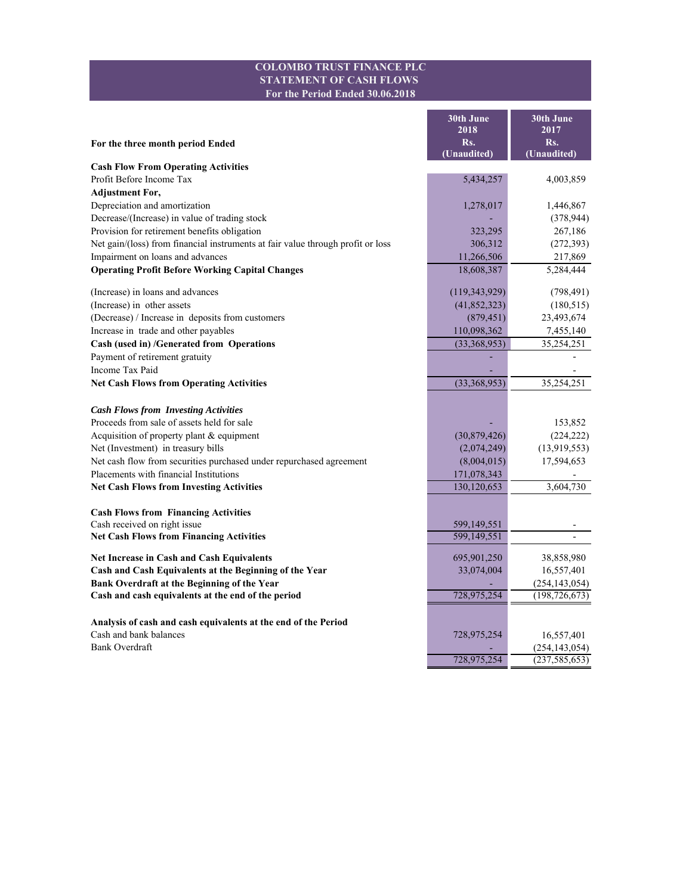### **COLOMBO TRUST FINANCE PLC STATEMENT OF CASH FLOWS For the Period Ended 30.06.2018**

÷.

r.

|                                                                                 | 30th June                  | 30th June          |
|---------------------------------------------------------------------------------|----------------------------|--------------------|
|                                                                                 | 2018                       | 2017               |
| For the three month period Ended                                                | Rs.<br>(Unaudited)         | Rs.<br>(Unaudited) |
| <b>Cash Flow From Operating Activities</b>                                      |                            |                    |
| Profit Before Income Tax                                                        | 5,434,257                  | 4,003,859          |
| <b>Adjustment For,</b>                                                          |                            |                    |
| Depreciation and amortization                                                   | 1,278,017                  | 1,446,867          |
| Decrease/(Increase) in value of trading stock                                   |                            | (378, 944)         |
| Provision for retirement benefits obligation                                    | 323,295                    | 267,186            |
| Net gain/(loss) from financial instruments at fair value through profit or loss | 306,312                    | (272, 393)         |
| Impairment on loans and advances                                                | 11,266,506                 | 217,869            |
| <b>Operating Profit Before Working Capital Changes</b>                          | 18,608,387                 | 5,284,444          |
| (Increase) in loans and advances                                                | (119, 343, 929)            | (798, 491)         |
| (Increase) in other assets                                                      | (41, 852, 323)             | (180, 515)         |
| (Decrease) / Increase in deposits from customers                                | (879, 451)                 | 23,493,674         |
| Increase in trade and other payables                                            | 110,098,362                | 7,455,140          |
| Cash (used in) /Generated from Operations                                       | (33,368,953)               | 35,254,251         |
| Payment of retirement gratuity                                                  |                            |                    |
| Income Tax Paid                                                                 |                            |                    |
| <b>Net Cash Flows from Operating Activities</b>                                 | (33,368,953)               | 35,254,251         |
| <b>Cash Flows from Investing Activities</b>                                     |                            |                    |
| Proceeds from sale of assets held for sale                                      |                            | 153,852            |
| Acquisition of property plant & equipment                                       | (30,879,426)               | (224, 222)         |
| Net (Investment) in treasury bills                                              | (2,074,249)                | (13,919,553)       |
| Net cash flow from securities purchased under repurchased agreement             | (8,004,015)                | 17,594,653         |
| Placements with financial Institutions                                          | 171,078,343                |                    |
| <b>Net Cash Flows from Investing Activities</b>                                 | 130,120,653                | 3,604,730          |
|                                                                                 |                            |                    |
| <b>Cash Flows from Financing Activities</b><br>Cash received on right issue     |                            |                    |
| <b>Net Cash Flows from Financing Activities</b>                                 | 599,149,551<br>599,149,551 |                    |
|                                                                                 |                            |                    |
| <b>Net Increase in Cash and Cash Equivalents</b>                                | 695,901,250                | 38,858,980         |
| Cash and Cash Equivalents at the Beginning of the Year                          | 33,074,004                 | 16,557,401         |
| Bank Overdraft at the Beginning of the Year                                     |                            | (254, 143, 054)    |
| Cash and cash equivalents at the end of the period                              | 728,975,254                | (198, 726, 673)    |
| Analysis of cash and cash equivalents at the end of the Period                  |                            |                    |
| Cash and bank balances                                                          | 728,975,254                | 16,557,401         |
| Bank Overdraft                                                                  |                            | (254, 143, 054)    |
|                                                                                 | 728,975,254                | (237, 585, 653)    |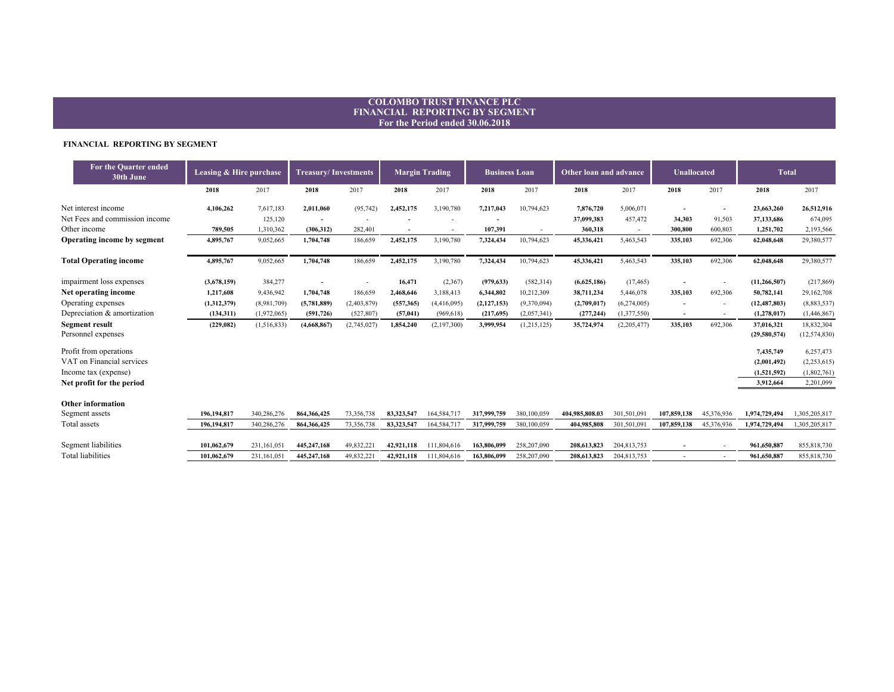# **COLOMBO TRUST FINANCE PLC FINANCIAL REPORTING BY SEGMENT For the Period ended 30.06.2018**

#### **FINANCIAL REPORTING BY SEGMENT**

| 2017<br>2017<br>2018<br>2018<br>2018<br>2017<br>2018<br>2017<br>2018<br>2017<br>2018<br>2017<br>2018<br>2017<br>Net interest income<br>10,794,623<br>5,006,071<br>4,106,262<br>7,617,183<br>(95, 742)<br>2,452,175<br>3,190,780<br>7,217,043<br>7,876,720<br>23,663,260<br>2,011,060<br>$\overline{\phantom{a}}$<br>Net Fees and commission income<br>125,120<br>457,472<br>37,099,383<br>34,303<br>91,503<br>37,133,686<br>$\overline{\phantom{a}}$<br>Other income<br>360.318<br>300,800<br>1,251,702<br>789.505<br>1,310,362<br>(306, 312)<br>282,401<br>107,391<br>600,803<br>Operating income by segment<br>186,659<br>2,452,175<br>3,190,780<br>10,794,623<br>4,895,767<br>9,052,665<br>1,704,748<br>7,324,434<br>45,336,421<br>5,463,543<br>335,103<br>692,306<br>62,048,648<br><b>Total Operating income</b><br>692,306<br>4,895,767<br>9,052,665<br>1,704,748<br>186,659<br>2,452,175<br>3,190,780<br>7,324,434<br>10,794,623<br>45,336,421<br>5,463,543<br>335,103<br>62,048,648 | 26,512,916<br>674,095<br>2,193,566<br>29,380,577<br>29,380,577 |
|--------------------------------------------------------------------------------------------------------------------------------------------------------------------------------------------------------------------------------------------------------------------------------------------------------------------------------------------------------------------------------------------------------------------------------------------------------------------------------------------------------------------------------------------------------------------------------------------------------------------------------------------------------------------------------------------------------------------------------------------------------------------------------------------------------------------------------------------------------------------------------------------------------------------------------------------------------------------------------------------|----------------------------------------------------------------|
|                                                                                                                                                                                                                                                                                                                                                                                                                                                                                                                                                                                                                                                                                                                                                                                                                                                                                                                                                                                            |                                                                |
|                                                                                                                                                                                                                                                                                                                                                                                                                                                                                                                                                                                                                                                                                                                                                                                                                                                                                                                                                                                            |                                                                |
|                                                                                                                                                                                                                                                                                                                                                                                                                                                                                                                                                                                                                                                                                                                                                                                                                                                                                                                                                                                            |                                                                |
|                                                                                                                                                                                                                                                                                                                                                                                                                                                                                                                                                                                                                                                                                                                                                                                                                                                                                                                                                                                            |                                                                |
|                                                                                                                                                                                                                                                                                                                                                                                                                                                                                                                                                                                                                                                                                                                                                                                                                                                                                                                                                                                            |                                                                |
|                                                                                                                                                                                                                                                                                                                                                                                                                                                                                                                                                                                                                                                                                                                                                                                                                                                                                                                                                                                            |                                                                |
| impairment loss expenses<br>384,277<br>16,471<br>(3,678,159)<br>(2,367)<br>(979, 633)<br>(582, 314)<br>(6,625,186)<br>(17, 465)<br>(11, 266, 507)<br>$\overline{\phantom{a}}$                                                                                                                                                                                                                                                                                                                                                                                                                                                                                                                                                                                                                                                                                                                                                                                                              | (217, 869)                                                     |
| Net operating income<br>1,217,608<br>1,704,748<br>186,659<br>3,188,413<br>6,344,802<br>10,212,309<br>5,446,078<br>335,103<br>692,306<br>50,782,141<br>9,436,942<br>2,468,646<br>38,711,234                                                                                                                                                                                                                                                                                                                                                                                                                                                                                                                                                                                                                                                                                                                                                                                                 | 29,162,708                                                     |
| Operating expenses<br>(8,981,709)<br>(2,127,153)<br>(9,370,094)<br>(6,274,005)<br>(12, 487, 803)<br>(1,312,379)<br>(5,781,889)<br>(2,403,879)<br>(557,365)<br>(4,416,095)<br>(2,709,017)                                                                                                                                                                                                                                                                                                                                                                                                                                                                                                                                                                                                                                                                                                                                                                                                   | (8,883,537)                                                    |
| Depreciation & amortization<br>(1,972,065)<br>(527, 807)<br>(1,377,550)<br>(1,278,017)<br>(134, 311)<br>(591, 726)<br>(57, 041)<br>(969, 618)<br>(217,695)<br>(2,057,341)<br>(277, 244)<br>$\overline{\phantom{a}}$<br>$\tilde{\phantom{a}}$                                                                                                                                                                                                                                                                                                                                                                                                                                                                                                                                                                                                                                                                                                                                               | (1,446,867)                                                    |
| <b>Segment result</b><br>692,306<br>(229, 082)<br>(1,516,833)<br>(4,668,867)<br>(2,745,027)<br>1,854,240<br>(2,197,300)<br>3,999,954<br>(1,215,125)<br>35,724,974<br>(2,205,477)<br>335,103<br>37,016,321                                                                                                                                                                                                                                                                                                                                                                                                                                                                                                                                                                                                                                                                                                                                                                                  | 18,832,304                                                     |
| Personnel expenses<br>(29,580,574)                                                                                                                                                                                                                                                                                                                                                                                                                                                                                                                                                                                                                                                                                                                                                                                                                                                                                                                                                         | (12, 574, 830)                                                 |
| Profit from operations<br>7,435,749                                                                                                                                                                                                                                                                                                                                                                                                                                                                                                                                                                                                                                                                                                                                                                                                                                                                                                                                                        | 6,257,473                                                      |
| VAT on Financial services<br>(2,001,492)                                                                                                                                                                                                                                                                                                                                                                                                                                                                                                                                                                                                                                                                                                                                                                                                                                                                                                                                                   | (2,253,615)                                                    |
| Income tax (expense)<br>(1,521,592)                                                                                                                                                                                                                                                                                                                                                                                                                                                                                                                                                                                                                                                                                                                                                                                                                                                                                                                                                        | (1,802,761)                                                    |
| Net profit for the period<br>3,912,664                                                                                                                                                                                                                                                                                                                                                                                                                                                                                                                                                                                                                                                                                                                                                                                                                                                                                                                                                     | 2,201,099                                                      |
| <b>Other information</b>                                                                                                                                                                                                                                                                                                                                                                                                                                                                                                                                                                                                                                                                                                                                                                                                                                                                                                                                                                   |                                                                |
| Segment assets<br>317,999,759<br>107,859,138<br>1,974,729,494<br>196.194.817<br>340,286,276<br>864, 366, 425<br>73,356,738<br>83,323,547<br>164,584,717<br>380,100,059<br>404.985.808.03<br>301,501,091<br>45,376,936                                                                                                                                                                                                                                                                                                                                                                                                                                                                                                                                                                                                                                                                                                                                                                      | 1,305,205,817                                                  |
| Total assets<br>196,194,817<br>340,286,276<br>864,366,425<br>73,356,738<br>83,323,547<br>164,584,717<br>317,999,759<br>380,100,059<br>404,985,808<br>301,501,091<br>107,859,138<br>45,376,936<br>1,974,729,494                                                                                                                                                                                                                                                                                                                                                                                                                                                                                                                                                                                                                                                                                                                                                                             | 1,305,205,817                                                  |
| Segment liabilities<br>258,207,090<br>101,062,679<br>231,161,05<br>445,247,168<br>49,832,221<br>42,921,118<br>111,804,616<br>163,806,099<br>208,613,823<br>204,813,753<br>961,650,887                                                                                                                                                                                                                                                                                                                                                                                                                                                                                                                                                                                                                                                                                                                                                                                                      | 855, 818, 730                                                  |
| <b>Total liabilities</b><br>49,832,221<br>258,207,090<br>101,062,679<br>231,161,051<br>445,247,168<br>42.921.118<br>111,804,616<br>163,806,099<br>208,613,823<br>204,813,753<br>961,650,887<br>855, 818, 730                                                                                                                                                                                                                                                                                                                                                                                                                                                                                                                                                                                                                                                                                                                                                                               |                                                                |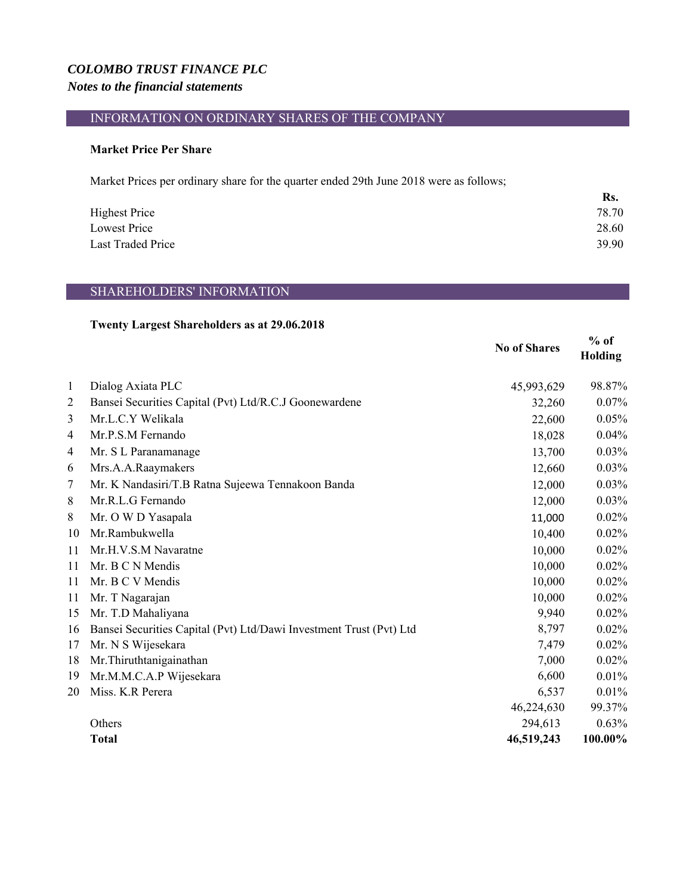# *COLOMBO TRUST FINANCE PLC Notes to the financial statements*

# INFORMATION ON ORDINARY SHARES OF THE COMPANY

### **Market Price Per Share**

Market Prices per ordinary share for the quarter ended 29th June 2018 were as follows;

|                      | Rs.   |
|----------------------|-------|
| <b>Highest Price</b> | 78.70 |
| Lowest Price         | 28.60 |
| Last Traded Price    | 39.90 |

# SHAREHOLDERS' INFORMATION

# **Twenty Largest Shareholders as at 29.06.2018**

|                |                                                                     | <b>No of Shares</b> | $%$ of<br>Holding |
|----------------|---------------------------------------------------------------------|---------------------|-------------------|
| $\mathbf{1}$   | Dialog Axiata PLC                                                   | 45,993,629          | 98.87%            |
| $\overline{2}$ | Bansei Securities Capital (Pvt) Ltd/R.C.J Goonewardene              | 32,260              | 0.07%             |
| $\overline{3}$ | Mr.L.C.Y Welikala                                                   | 22,600              | 0.05%             |
| 4              | Mr.P.S.M Fernando                                                   | 18,028              | 0.04%             |
| 4              | Mr. S L Paranamanage                                                | 13,700              | 0.03%             |
| 6              | Mrs.A.A.Raaymakers                                                  | 12,660              | 0.03%             |
| 7              | Mr. K Nandasiri/T.B Ratna Sujeewa Tennakoon Banda                   | 12,000              | 0.03%             |
| 8              | Mr.R.L.G Fernando                                                   | 12,000              | 0.03%             |
| 8              | Mr. O W D Yasapala                                                  | 11,000              | 0.02%             |
| 10             | Mr.Rambukwella                                                      | 10,400              | 0.02%             |
| 11             | Mr.H.V.S.M Navaratne                                                | 10,000              | 0.02%             |
| 11             | Mr. B C N Mendis                                                    | 10,000              | 0.02%             |
| 11             | Mr. B C V Mendis                                                    | 10,000              | 0.02%             |
| 11             | Mr. T Nagarajan                                                     | 10,000              | 0.02%             |
| 15             | Mr. T.D Mahaliyana                                                  | 9,940               | 0.02%             |
| 16             | Bansei Securities Capital (Pvt) Ltd/Dawi Investment Trust (Pvt) Ltd | 8,797               | 0.02%             |
| 17             | Mr. N S Wijesekara                                                  | 7,479               | 0.02%             |
| 18             | Mr. Thiruthtanigainathan                                            | 7,000               | 0.02%             |
| 19             | Mr.M.M.C.A.P Wijesekara                                             | 6,600               | 0.01%             |
| 20             | Miss. K.R Perera                                                    | 6,537               | 0.01%             |
|                |                                                                     | 46,224,630          | 99.37%            |
|                | Others                                                              | 294,613             | 0.63%             |
|                | <b>Total</b>                                                        | 46,519,243          | 100.00%           |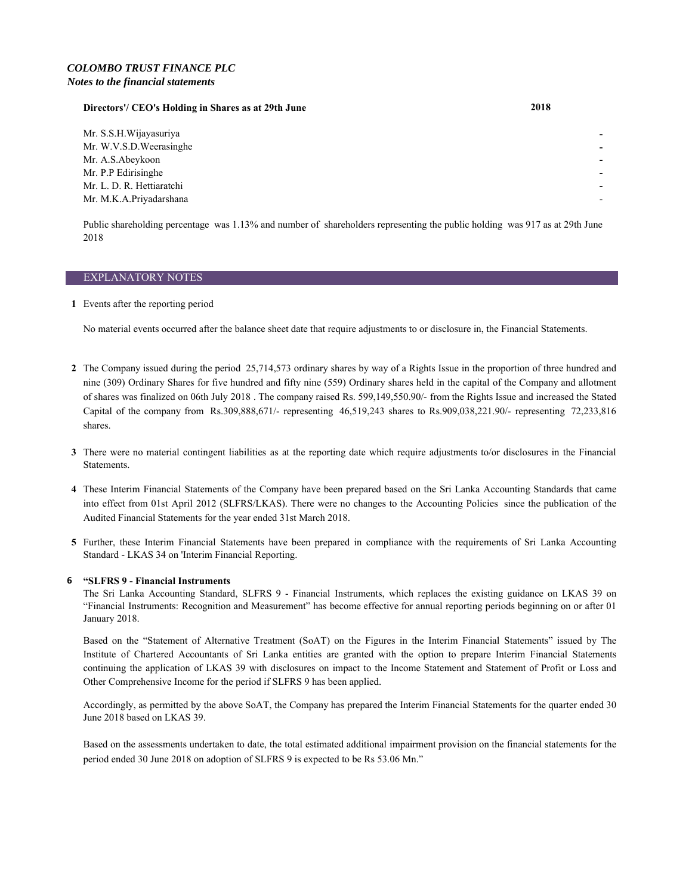### *COLOMBO TRUST FINANCE PLC Notes to the financial statements*

#### **Directors'/ CEO's Holding in Shares as at 29th June 2018**

Mr. S.S.H.Wijayasuriya **-**  Mr. W.V.S.D.Weerasinghe Mr. A.S.Abeykoon Mr. P.P Edirisinghe Mr. L. D. R. Hettiaratchi **-**  Mr. M.K.A.Priyadarshana

Public shareholding percentage was 1.13% and number of shareholders representing the public holding was 917 as at 29th June 2018

#### EXPLANATORY NOTES

**1** Events after the reporting period

No material events occurred after the balance sheet date that require adjustments to or disclosure in, the Financial Statements.

- **2** The Company issued during the period 25,714,573 ordinary shares by way of a Rights Issue in the proportion of three hundred and nine (309) Ordinary Shares for five hundred and fifty nine (559) Ordinary shares held in the capital of the Company and allotment of shares was finalized on 06th July 2018 . The company raised Rs. 599,149,550.90/- from the Rights Issue and increased the Stated Capital of the company from Rs.309,888,671/- representing 46,519,243 shares to Rs.909,038,221.90/- representing 72,233,816 shares.
- **3** There were no material contingent liabilities as at the reporting date which require adjustments to/or disclosures in the Financial Statements.
- **4** These Interim Financial Statements of the Company have been prepared based on the Sri Lanka Accounting Standards that came into effect from 01st April 2012 (SLFRS/LKAS). There were no changes to the Accounting Policies since the publication of the Audited Financial Statements for the year ended 31st March 2018.
- **5** Further, these Interim Financial Statements have been prepared in compliance with the requirements of Sri Lanka Accounting Standard - LKAS 34 on 'Interim Financial Reporting.

#### **6 "SLFRS 9 - Financial Instruments**

The Sri Lanka Accounting Standard, SLFRS 9 - Financial Instruments, which replaces the existing guidance on LKAS 39 on "Financial Instruments: Recognition and Measurement" has become effective for annual reporting periods beginning on or after 01 January 2018.

Based on the "Statement of Alternative Treatment (SoAT) on the Figures in the Interim Financial Statements" issued by The Institute of Chartered Accountants of Sri Lanka entities are granted with the option to prepare Interim Financial Statements continuing the application of LKAS 39 with disclosures on impact to the Income Statement and Statement of Profit or Loss and Other Comprehensive Income for the period if SLFRS 9 has been applied.

Accordingly, as permitted by the above SoAT, the Company has prepared the Interim Financial Statements for the quarter ended 30 June 2018 based on LKAS 39.

Based on the assessments undertaken to date, the total estimated additional impairment provision on the financial statements for the period ended 30 June 2018 on adoption of SLFRS 9 is expected to be Rs 53.06 Mn."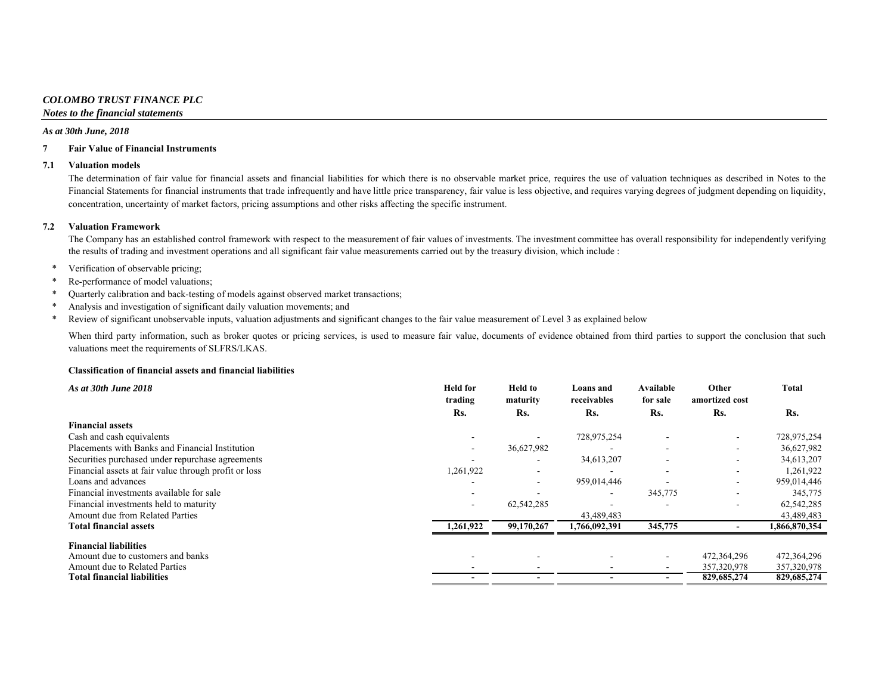### *COLOMBO TRUST FINANCE PLC*

*Notes to the financial statements*

#### *As at 30th June, 2018*

#### **7 Fair Value of Financial Instruments**

#### **7.1 Valuation models**

The determination of fair value for financial assets and financial liabilities for which there is no observable market price, requires the use of valuation techniques as described in Notes to the Financial Statements for financial instruments that trade infrequently and have little price transparency, fair value is less objective, and requires varying degrees of judgment depending on liquidity, concentration, uncertainty of market factors, pricing assumptions and other risks affecting the specific instrument.

#### **7.2 Valuation Framework**

The Company has an established control framework with respect to the measurement of fair values of investments. The investment committee has overall responsibility for independently verifying the results of trading and investment operations and all significant fair value measurements carried out by the treasury division, which include :

- \*Verification of observable pricing;
- \*Re-performance of model valuations;
- \*Quarterly calibration and back-testing of models against observed market transactions;
- \*Analysis and investigation of significant daily valuation movements; and
- \*Review of significant unobservable inputs, valuation adjustments and significant changes to the fair value measurement of Level 3 as explained below

When third party information, such as broker quotes or pricing services, is used to measure fair value, documents of evidence obtained from third parties to support the conclusion that such valuations meet the requirements of SLFRS/LKAS.

#### **Classification of financial assets and financial liabilities**

| As at 30th June 2018                                  | <b>Held</b> for<br>trading | <b>Held</b> to<br>maturity | Loans and<br>receivables | <b>Available</b><br>for sale | Other<br>amortized cost  | <b>Total</b>  |
|-------------------------------------------------------|----------------------------|----------------------------|--------------------------|------------------------------|--------------------------|---------------|
|                                                       | Rs.                        | Rs.                        | Rs.                      | Rs.                          | Rs.                      | Rs.           |
| <b>Financial assets</b>                               |                            |                            |                          |                              |                          |               |
| Cash and cash equivalents                             |                            |                            | 728,975,254              |                              |                          | 728,975,254   |
| Placements with Banks and Financial Institution       |                            | 36,627,982                 |                          | $\overline{\phantom{a}}$     | $\sim$                   | 36,627,982    |
| Securities purchased under repurchase agreements      |                            | ۰                          | 34,613,207               | $\overline{\phantom{a}}$     | $\overline{\phantom{a}}$ | 34,613,207    |
| Financial assets at fair value through profit or loss | 1,261,922                  | ۰                          |                          |                              |                          | 1,261,922     |
| Loans and advances                                    |                            | ۰                          | 959,014,446              |                              |                          | 959,014,446   |
| Financial investments available for sale              |                            |                            | $\overline{\phantom{a}}$ | 345,775                      |                          | 345,775       |
| Financial investments held to maturity                |                            | 62,542,285                 |                          |                              |                          | 62,542,285    |
| Amount due from Related Parties                       |                            |                            | 43,489,483               |                              |                          | 43,489,483    |
| <b>Total financial assets</b>                         | 1,261,922                  | 99,170,267                 | 1,766,092,391            | 345,775                      |                          | 1,866,870,354 |
| <b>Financial liabilities</b>                          |                            |                            |                          |                              |                          |               |
| Amount due to customers and banks                     |                            |                            |                          |                              | 472,364,296              | 472,364,296   |
| Amount due to Related Parties                         |                            |                            |                          |                              | 357,320,978              | 357,320,978   |
| Total financial liabilities                           |                            |                            |                          |                              | 829,685,274              | 829,685,274   |